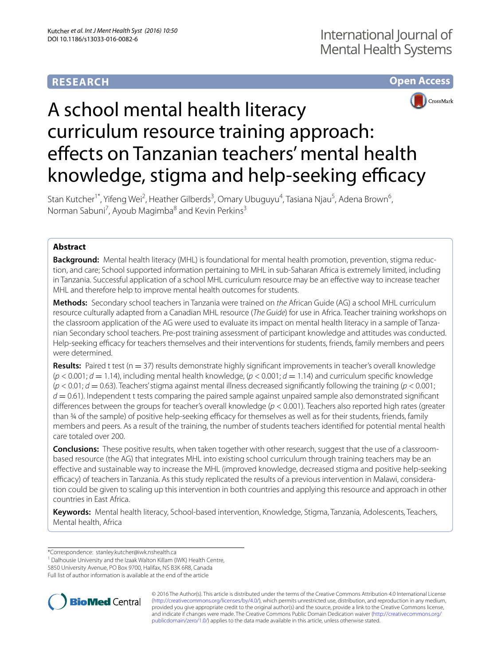# **RESEARCH**





# A school mental health literacy curriculum resource training approach: effects on Tanzanian teachers' mental health knowledge, stigma and help-seeking efficacy

Stan Kutcher<sup>1\*</sup>, Yifeng Wei<sup>2</sup>, Heather Gilberds<sup>3</sup>, Omary Ubuguyu<sup>4</sup>, Tasiana Njau<sup>5</sup>, Adena Brown<sup>6</sup>, Norman Sabuni<sup>7</sup>, Ayoub Magimba<sup>8</sup> and Kevin Perkins<sup>3</sup>

# **Abstract**

**Background:** Mental health literacy (MHL) is foundational for mental health promotion, prevention, stigma reduction, and care; School supported information pertaining to MHL in sub-Saharan Africa is extremely limited, including in Tanzania. Successful application of a school MHL curriculum resource may be an effective way to increase teacher MHL and therefore help to improve mental health outcomes for students.

**Methods:** Secondary school teachers in Tanzania were trained on *the* African Guide (AG) a school MHL curriculum resource culturally adapted from a Canadian MHL resource (*The Guide*) for use in Africa. Teacher training workshops on the classroom application of the AG were used to evaluate its impact on mental health literacy in a sample of Tanzanian Secondary school teachers. Pre-post training assessment of participant knowledge and attitudes was conducted. Help-seeking efficacy for teachers themselves and their interventions for students, friends, family members and peers were determined.

Results: Paired t test (n = 37) results demonstrate highly significant improvements in teacher's overall knowledge (*p* < 0.001; *d* = 1.14), including mental health knowledge, (*p* < 0.001; *d* = 1.14) and curriculum specific knowledge  $(p < 0.01; d = 0.63)$ . Teachers' stigma against mental illness decreased significantly following the training  $(p < 0.001;$ *d* = 0.61). Independent t tests comparing the paired sample against unpaired sample also demonstrated significant differences between the groups for teacher's overall knowledge (*p* < 0.001). Teachers also reported high rates (greater than ¾ of the sample) of positive help-seeking efficacy for themselves as well as for their students, friends, family members and peers. As a result of the training, the number of students teachers identified for potential mental health care totaled over 200.

**Conclusions:** These positive results, when taken together with other research, suggest that the use of a classroombased resource (the AG) that integrates MHL into existing school curriculum through training teachers may be an effective and sustainable way to increase the MHL (improved knowledge, decreased stigma and positive help-seeking efficacy) of teachers in Tanzania. As this study replicated the results of a previous intervention in Malawi, consideration could be given to scaling up this intervention in both countries and applying this resource and approach in other countries in East Africa.

**Keywords:** Mental health literacy, School-based intervention, Knowledge, Stigma, Tanzania, Adolescents, Teachers, Mental health, Africa

\*Correspondence: stanley.kutcher@iwk.nshealth.ca

<sup>1</sup> Dalhousie University and the Izaak Walton Killam (IWK) Health Centre, 5850 University Avenue, PO Box 9700, Halifax, NS B3K 6R8, Canada Full list of author information is available at the end of the article



© 2016 The Author(s). This article is distributed under the terms of the Creative Commons Attribution 4.0 International License [\(http://creativecommons.org/licenses/by/4.0/\)](http://creativecommons.org/licenses/by/4.0/), which permits unrestricted use, distribution, and reproduction in any medium, provided you give appropriate credit to the original author(s) and the source, provide a link to the Creative Commons license, and indicate if changes were made. The Creative Commons Public Domain Dedication waiver ([http://creativecommons.org/](http://creativecommons.org/publicdomain/zero/1.0/) [publicdomain/zero/1.0/](http://creativecommons.org/publicdomain/zero/1.0/)) applies to the data made available in this article, unless otherwise stated.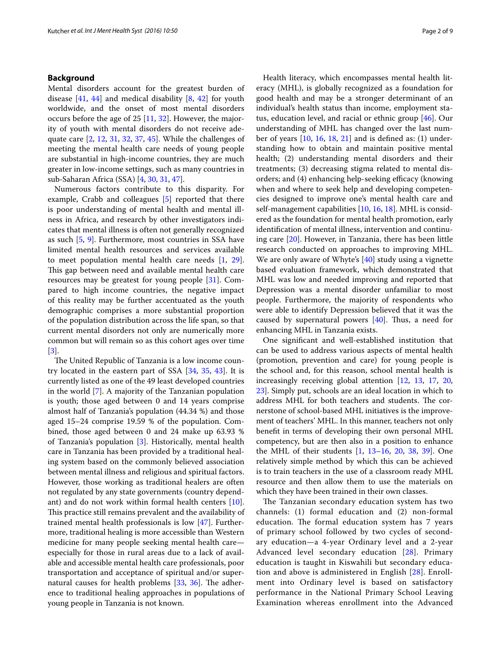# **Background**

Mental disorders account for the greatest burden of disease [[41,](#page-8-0) [44](#page-8-1)] and medical disability [[8,](#page-8-2) [42\]](#page-8-3) for youth worldwide, and the onset of most mental disorders occurs before the age of 25 [[11](#page-8-4), [32](#page-8-5)]. However, the majority of youth with mental disorders do not receive adequate care [\[2](#page-7-0), [12](#page-8-6), [31](#page-8-7), [32](#page-8-5), [37](#page-8-8), [45](#page-8-9)]. While the challenges of meeting the mental health care needs of young people are substantial in high-income countries, they are much greater in low-income settings, such as many countries in sub-Saharan Africa (SSA) [\[4](#page-7-1), [30,](#page-8-10) [31,](#page-8-7) [47](#page-8-11)].

Numerous factors contribute to this disparity. For example, Crabb and colleagues [\[5](#page-7-2)] reported that there is poor understanding of mental health and mental illness in Africa, and research by other investigators indicates that mental illness is often not generally recognized as such [[5](#page-7-2), [9\]](#page-8-12). Furthermore, most countries in SSA have limited mental health resources and services available to meet population mental health care needs [\[1](#page-7-3), [29](#page-8-13)]. This gap between need and available mental health care resources may be greatest for young people [[31\]](#page-8-7). Compared to high income countries, the negative impact of this reality may be further accentuated as the youth demographic comprises a more substantial proportion of the population distribution across the life span, so that current mental disorders not only are numerically more common but will remain so as this cohort ages over time [[3\]](#page-7-4).

The United Republic of Tanzania is a low income country located in the eastern part of SSA [[34,](#page-8-14) [35](#page-8-15), [43](#page-8-16)]. It is currently listed as one of the 49 least developed countries in the world [\[7](#page-7-5)]. A majority of the Tanzanian population is youth; those aged between 0 and 14 years comprise almost half of Tanzania's population (44.34 %) and those aged 15–24 comprise 19.59 % of the population. Combined, those aged between 0 and 24 make up 63.93 % of Tanzania's population [[3\]](#page-7-4). Historically, mental health care in Tanzania has been provided by a traditional healing system based on the commonly believed association between mental illness and religious and spiritual factors. However, those working as traditional healers are often not regulated by any state governments (country dependant) and do not work within formal health centers  $[10]$  $[10]$ . This practice still remains prevalent and the availability of trained mental health professionals is low [[47\]](#page-8-11). Furthermore, traditional healing is more accessible than Western medicine for many people seeking mental health care especially for those in rural areas due to a lack of available and accessible mental health care professionals, poor transportation and acceptance of spiritual and/or supernatural causes for health problems [[33,](#page-8-18) [36\]](#page-8-19). The adherence to traditional healing approaches in populations of young people in Tanzania is not known.

Health literacy, which encompasses mental health literacy (MHL), is globally recognized as a foundation for good health and may be a stronger determinant of an individual's health status than income, employment status, education level, and racial or ethnic group [[46](#page-8-20)]. Our understanding of MHL has changed over the last number of years  $[10, 16, 18, 21]$  $[10, 16, 18, 21]$  $[10, 16, 18, 21]$  $[10, 16, 18, 21]$  $[10, 16, 18, 21]$  $[10, 16, 18, 21]$  $[10, 16, 18, 21]$  $[10, 16, 18, 21]$  $[10, 16, 18, 21]$  and is defined as:  $(1)$  understanding how to obtain and maintain positive mental health; (2) understanding mental disorders and their treatments; (3) decreasing stigma related to mental disorders; and (4) enhancing help-seeking efficacy (knowing when and where to seek help and developing competencies designed to improve one's mental health care and self-management capabilities [[10,](#page-8-17) [16,](#page-8-21) [18](#page-8-22)]. MHL is considered as the foundation for mental health promotion, early identification of mental illness, intervention and continuing care [[20](#page-8-24)]. However, in Tanzania, there has been little research conducted on approaches to improving MHL. We are only aware of Whyte's [\[40](#page-8-25)] study using a vignette based evaluation framework, which demonstrated that MHL was low and needed improving and reported that Depression was a mental disorder unfamiliar to most people. Furthermore, the majority of respondents who were able to identify Depression believed that it was the caused by supernatural powers [[40\]](#page-8-25). Thus, a need for enhancing MHL in Tanzania exists.

One significant and well-established institution that can be used to address various aspects of mental health (promotion, prevention and care) for young people is the school and, for this reason, school mental health is increasingly receiving global attention [[12](#page-8-6), [13](#page-8-26), [17](#page-8-27), [20](#page-8-24), [23\]](#page-8-28). Simply put, schools are an ideal location in which to address MHL for both teachers and students. The cornerstone of school-based MHL initiatives is the improvement of teachers' MHL. In this manner, teachers not only benefit in terms of developing their own personal MHL competency, but are then also in a position to enhance the MHL of their students [[1,](#page-7-3) [13](#page-8-26)–[16,](#page-8-21) [20](#page-8-24), [38](#page-8-29), [39](#page-8-30)]. One relatively simple method by which this can be achieved is to train teachers in the use of a classroom ready MHL resource and then allow them to use the materials on which they have been trained in their own classes.

The Tanzanian secondary education system has two channels: (1) formal education and (2) non-formal education. The formal education system has 7 years of primary school followed by two cycles of secondary education—a 4-year Ordinary level and a 2-year Advanced level secondary education [[28\]](#page-8-31). Primary education is taught in Kiswahili but secondary education and above is administered in English [[28](#page-8-31)]. Enrollment into Ordinary level is based on satisfactory performance in the National Primary School Leaving Examination whereas enrollment into the Advanced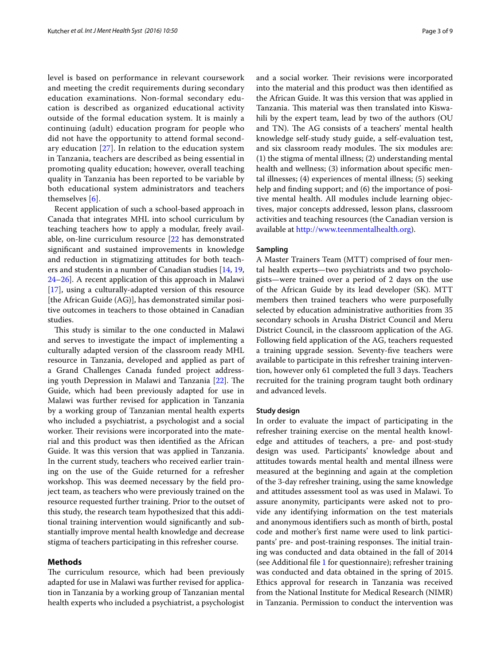level is based on performance in relevant coursework and meeting the credit requirements during secondary education examinations. Non-formal secondary education is described as organized educational activity outside of the formal education system. It is mainly a continuing (adult) education program for people who did not have the opportunity to attend formal secondary education  $[27]$  $[27]$ . In relation to the education system in Tanzania, teachers are described as being essential in promoting quality education; however, overall teaching quality in Tanzania has been reported to be variable by both educational system administrators and teachers themselves [[6\]](#page-7-6).

Recent application of such a school-based approach in Canada that integrates MHL into school curriculum by teaching teachers how to apply a modular, freely available, on-line curriculum resource [\[22](#page-8-33) has demonstrated significant and sustained improvements in knowledge and reduction in stigmatizing attitudes for both teachers and students in a number of Canadian studies [\[14,](#page-8-34) [19](#page-8-35), [24–](#page-8-36)[26](#page-8-37)]. A recent application of this approach in Malawi [[17\]](#page-8-27), using a culturally-adapted version of this resource [the African Guide (AG)], has demonstrated similar positive outcomes in teachers to those obtained in Canadian studies.

This study is similar to the one conducted in Malawi and serves to investigate the impact of implementing a culturally adapted version of the classroom ready MHL resource in Tanzania, developed and applied as part of a Grand Challenges Canada funded project addressing youth Depression in Malawi and Tanzania [[22](#page-8-33)]. The Guide, which had been previously adapted for use in Malawi was further revised for application in Tanzania by a working group of Tanzanian mental health experts who included a psychiatrist, a psychologist and a social worker. Their revisions were incorporated into the material and this product was then identified as the African Guide. It was this version that was applied in Tanzania. In the current study, teachers who received earlier training on the use of the Guide returned for a refresher workshop. This was deemed necessary by the field project team, as teachers who were previously trained on the resource requested further training. Prior to the outset of this study, the research team hypothesized that this additional training intervention would significantly and substantially improve mental health knowledge and decrease stigma of teachers participating in this refresher course.

#### **Methods**

The curriculum resource, which had been previously adapted for use in Malawi was further revised for application in Tanzania by a working group of Tanzanian mental health experts who included a psychiatrist, a psychologist and a social worker. Their revisions were incorporated into the material and this product was then identified as the African Guide. It was this version that was applied in Tanzania. This material was then translated into Kiswahili by the expert team, lead by two of the authors (OU and TN). The AG consists of a teachers' mental health knowledge self-study study guide, a self-evaluation test, and six classroom ready modules. The six modules are: (1) the stigma of mental illness; (2) understanding mental health and wellness; (3) information about specific mental illnesses; (4) experiences of mental illness; (5) seeking help and finding support; and (6) the importance of positive mental health. All modules include learning objectives, major concepts addressed, lesson plans, classroom activities and teaching resources (the Canadian version is available at [http://www.teenmentalhealth.org\)](http://www.teenmentalhealth.org).

#### **Sampling**

A Master Trainers Team (MTT) comprised of four mental health experts—two psychiatrists and two psychologists—were trained over a period of 2 days on the use of the African Guide by its lead developer (SK). MTT members then trained teachers who were purposefully selected by education administrative authorities from 35 secondary schools in Arusha District Council and Meru District Council, in the classroom application of the AG. Following field application of the AG, teachers requested a training upgrade session. Seventy-five teachers were available to participate in this refresher training intervention, however only 61 completed the full 3 days. Teachers recruited for the training program taught both ordinary and advanced levels.

#### **Study design**

In order to evaluate the impact of participating in the refresher training exercise on the mental health knowledge and attitudes of teachers, a pre- and post-study design was used. Participants' knowledge about and attitudes towards mental health and mental illness were measured at the beginning and again at the completion of the 3-day refresher training, using the same knowledge and attitudes assessment tool as was used in Malawi. To assure anonymity, participants were asked not to provide any identifying information on the test materials and anonymous identifiers such as month of birth, postal code and mother's first name were used to link participants' pre- and post-training responses. The initial training was conducted and data obtained in the fall of 2014 (see Additional file [1](#page-7-7) for questionnaire); refresher training was conducted and data obtained in the spring of 2015. Ethics approval for research in Tanzania was received from the National Institute for Medical Research (NIMR) in Tanzania. Permission to conduct the intervention was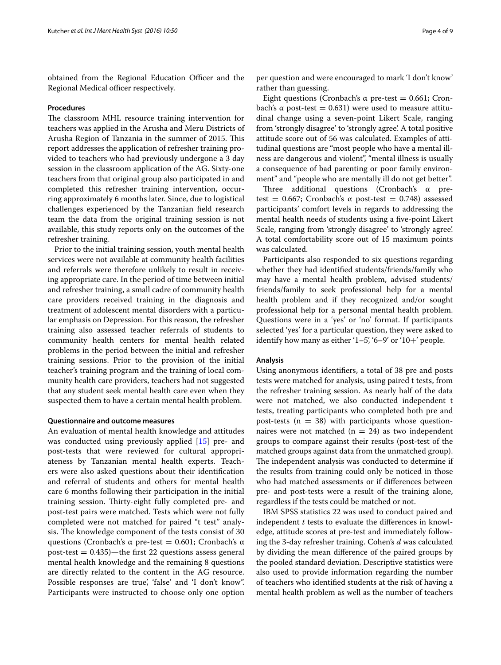obtained from the Regional Education Officer and the Regional Medical officer respectively.

#### **Procedures**

The classroom MHL resource training intervention for teachers was applied in the Arusha and Meru Districts of Arusha Region of Tanzania in the summer of 2015. This report addresses the application of refresher training provided to teachers who had previously undergone a 3 day session in the classroom application of the AG. Sixty-one teachers from that original group also participated in and completed this refresher training intervention, occurring approximately 6 months later. Since, due to logistical challenges experienced by the Tanzanian field research team the data from the original training session is not available, this study reports only on the outcomes of the refresher training.

Prior to the initial training session, youth mental health services were not available at community health facilities and referrals were therefore unlikely to result in receiving appropriate care. In the period of time between initial and refresher training, a small cadre of community health care providers received training in the diagnosis and treatment of adolescent mental disorders with a particular emphasis on Depression. For this reason, the refresher training also assessed teacher referrals of students to community health centers for mental health related problems in the period between the initial and refresher training sessions. Prior to the provision of the initial teacher's training program and the training of local community health care providers, teachers had not suggested that any student seek mental health care even when they suspected them to have a certain mental health problem.

## **Questionnaire and outcome measures**

An evaluation of mental health knowledge and attitudes was conducted using previously applied [\[15](#page-8-38)] pre- and post-tests that were reviewed for cultural appropriateness by Tanzanian mental health experts. Teachers were also asked questions about their identification and referral of students and others for mental health care 6 months following their participation in the initial training session. Thirty-eight fully completed pre- and post-test pairs were matched. Tests which were not fully completed were not matched for paired "t test" analysis. The knowledge component of the tests consist of 30 questions (Cronbach's  $\alpha$  pre-test = 0.601; Cronbach's  $\alpha$ post-test  $= 0.435$ )—the first 22 questions assess general mental health knowledge and the remaining 8 questions are directly related to the content in the AG resource. Possible responses are true', 'false' and 'I don't know". Participants were instructed to choose only one option

per question and were encouraged to mark 'I don't know' rather than guessing.

Eight questions (Cronbach's  $\alpha$  pre-test = 0.661; Cronbach's  $\alpha$  post-test = 0.631) were used to measure attitudinal change using a seven-point Likert Scale, ranging from 'strongly disagree' to 'strongly agree'. A total positive attitude score out of 56 was calculated. Examples of attitudinal questions are "most people who have a mental illness are dangerous and violent", "mental illness is usually a consequence of bad parenting or poor family environment" and "people who are mentally ill do not get better".

Three additional questions (Cronbach's α pretest =  $0.667$ ; Cronbach's  $\alpha$  post-test = 0.748) assessed participants' comfort levels in regards to addressing the mental health needs of students using a five-point Likert Scale, ranging from 'strongly disagree' to 'strongly agree'. A total comfortability score out of 15 maximum points was calculated.

Participants also responded to six questions regarding whether they had identified students/friends/family who may have a mental health problem, advised students/ friends/family to seek professional help for a mental health problem and if they recognized and/or sought professional help for a personal mental health problem. Questions were in a 'yes' or 'no' format. If participants selected 'yes' for a particular question, they were asked to identify how many as either  $(1-5)$ ,  $(6-9)$  or  $(10+7)$  people.

### **Analysis**

Using anonymous identifiers, a total of 38 pre and posts tests were matched for analysis, using paired t tests, from the refresher training session. As nearly half of the data were not matched, we also conducted independent t tests, treating participants who completed both pre and post-tests ( $n = 38$ ) with participants whose questionnaires were not matched ( $n = 24$ ) as two independent groups to compare against their results (post-test of the matched groups against data from the unmatched group). The independent analysis was conducted to determine if the results from training could only be noticed in those who had matched assessments or if differences between pre- and post-tests were a result of the training alone, regardless if the tests could be matched or not.

IBM SPSS statistics 22 was used to conduct paired and independent *t* tests to evaluate the differences in knowledge, attitude scores at pre-test and immediately following the 3-day refresher training. Cohen's *d* was calculated by dividing the mean difference of the paired groups by the pooled standard deviation. Descriptive statistics were also used to provide information regarding the number of teachers who identified students at the risk of having a mental health problem as well as the number of teachers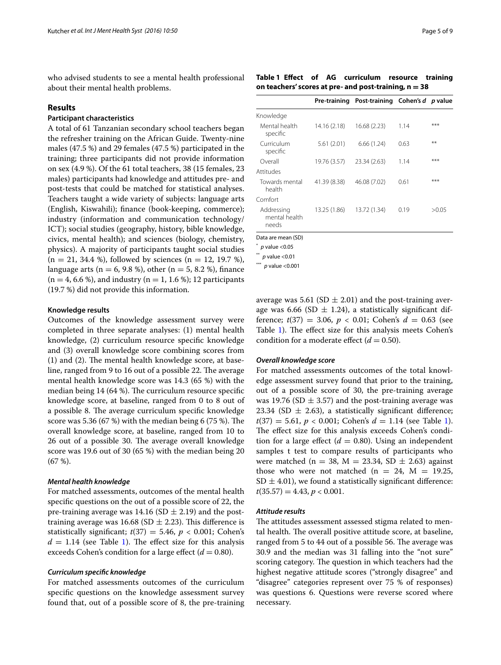who advised students to see a mental health professional about their mental health problems.

#### **Results**

# **Participant characteristics**

A total of 61 Tanzanian secondary school teachers began the refresher training on the African Guide. Twenty-nine males (47.5 %) and 29 females (47.5 %) participated in the training; three participants did not provide information on sex (4.9 %). Of the 61 total teachers, 38 (15 females, 23 males) participants had knowledge and attitudes pre- and post-tests that could be matched for statistical analyses. Teachers taught a wide variety of subjects: language arts (English, Kiswahili); finance (book-keeping, commerce); industry (information and communication technology/ ICT); social studies (geography, history, bible knowledge, civics, mental health); and sciences (biology, chemistry, physics). A majority of participants taught social studies  $(n = 21, 34.4 \%)$ , followed by sciences  $(n = 12, 19.7 \%)$ , language arts ( $n = 6, 9.8$  %), other ( $n = 5, 8.2$  %), finance (n = 4, 6.6 %), and industry (n = 1, 1.6 %); 12 participants (19.7 %) did not provide this information.

#### **Knowledge results**

Outcomes of the knowledge assessment survey were completed in three separate analyses: (1) mental health knowledge, (2) curriculum resource specific knowledge and (3) overall knowledge score combining scores from (1) and (2). The mental health knowledge score, at baseline, ranged from 9 to 16 out of a possible 22. The average mental health knowledge score was 14.3 (65 %) with the median being 14 (64 %). The curriculum resource specific knowledge score, at baseline, ranged from 0 to 8 out of a possible 8. The average curriculum specific knowledge score was 5.36 (67 %) with the median being 6 (75 %). The overall knowledge score, at baseline, ranged from 10 to 26 out of a possible 30. The average overall knowledge score was 19.6 out of 30 (65 %) with the median being 20 (67 %).

### *Mental health knowledge*

For matched assessments, outcomes of the mental health specific questions on the out of a possible score of 22, the pre-training average was 14.16 (SD  $\pm$  2.19) and the posttraining average was 16.68 (SD  $\pm$  2.23). This difference is statistically significant;  $t(37) = 5.46$ ,  $p < 0.001$ ; Cohen's  $d = 1.14$  (see Table [1\)](#page-4-0). The effect size for this analysis exceeds Cohen's condition for a large effect  $(d = 0.80)$ .

## *Curriculum specific knowledge*

For matched assessments outcomes of the curriculum specific questions on the knowledge assessment survey found that, out of a possible score of 8, the pre-training

<span id="page-4-0"></span>**Table 1 Effect of AG curriculum resource training on teachers' scores at pre- and post-training, n = 38**

|                                      |              | Pre-training Post-training Cohen's d p value |      |       |
|--------------------------------------|--------------|----------------------------------------------|------|-------|
| Knowledge                            |              |                                              |      |       |
| Mental health<br>specific            | 14.16(2.18)  | 16.68 (2.23)                                 | 1.14 | ***   |
| Curriculum<br>specific               | 5.61(2.01)   | 6.66(1.24)                                   | 0.63 | **    |
| Overall                              | 19.76 (3.57) | 23.34 (2.63)                                 | 1.14 | ***   |
| Attitudes                            |              |                                              |      |       |
| Towards mental<br>health             | 41.39 (8.38) | 46.08 (7.02)                                 | 0.61 | ***   |
| Comfort                              |              |                                              |      |       |
| Addressing<br>mental health<br>needs | 13.25 (1.86) | 13.72 (1.34)                                 | 0.19 | >0.05 |

Data are mean (SD)

\* *p* value <0.05

*p* value <0.01

\*\*\* *p* value <0.001

average was 5.61 (SD  $\pm$  2.01) and the post-training average was 6.66 (SD  $\pm$  1.24), a statistically significant difference;  $t(37) = 3.06$ ,  $p < 0.01$ ; Cohen's  $d = 0.63$  (see Table [1\)](#page-4-0). The effect size for this analysis meets Cohen's condition for a moderate effect  $(d = 0.50)$ .

### *Overall knowledge score*

For matched assessments outcomes of the total knowledge assessment survey found that prior to the training, out of a possible score of 30, the pre-training average was 19.76 (SD  $\pm$  3.57) and the post-training average was 23.34 (SD  $\pm$  2.63), a statistically significant difference;  $t(37) = 5.61, p < 0.001$  $t(37) = 5.61, p < 0.001$  $t(37) = 5.61, p < 0.001$ ; Cohen's  $d = 1.14$  (see Table 1). The effect size for this analysis exceeds Cohen's condition for a large effect  $(d = 0.80)$ . Using an independent samples t test to compare results of participants who were matched (n = 38, M = 23.34, SD  $\pm$  2.63) against those who were not matched ( $n = 24$ ,  $M = 19.25$ ,  $SD \pm 4.01$ ), we found a statistically significant difference:  $t(35.57) = 4.43, p < 0.001.$ 

### *Attitude results*

The attitudes assessment assessed stigma related to mental health. The overall positive attitude score, at baseline, ranged from 5 to 44 out of a possible 56. The average was 30.9 and the median was 31 falling into the "not sure" scoring category. The question in which teachers had the highest negative attitude scores ("strongly disagree" and "disagree" categories represent over 75 % of responses) was questions 6. Questions were reverse scored where necessary.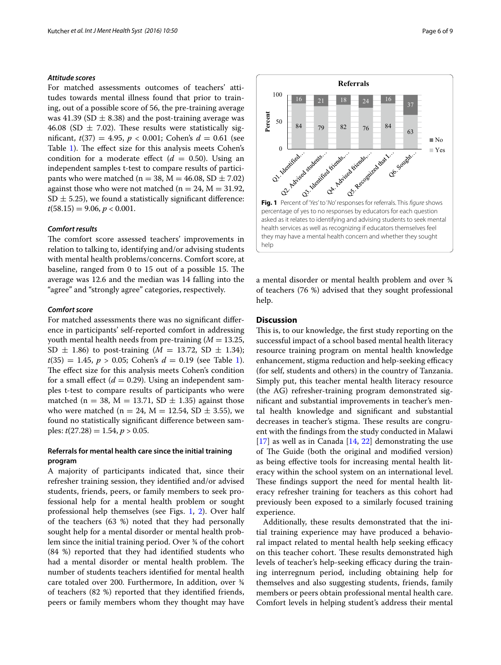# *Attitude scores*

For matched assessments outcomes of teachers' attitudes towards mental illness found that prior to training, out of a possible score of 56, the pre-training average was 41.39 (SD  $\pm$  8.38) and the post-training average was 46.08 (SD  $\pm$  7.02). These results were statistically significant,  $t(37) = 4.95$ ,  $p < 0.001$ ; Cohen's  $d = 0.61$  (see Table [1](#page-4-0)). The effect size for this analysis meets Cohen's condition for a moderate effect  $(d = 0.50)$ . Using an independent samples t-test to compare results of participants who were matched ( $n = 38$ ,  $M = 46.08$ , SD  $\pm 7.02$ ) against those who were not matched ( $n = 24$ ,  $M = 31.92$ ,  $SD \pm 5.25$ , we found a statistically significant difference:  $t(58.15) = 9.06, p < 0.001.$ 

### *Comfort results*

The comfort score assessed teachers' improvements in relation to talking to, identifying and/or advising students with mental health problems/concerns. Comfort score, at baseline, ranged from 0 to 15 out of a possible 15. The average was 12.6 and the median was 14 falling into the "agree" and "strongly agree" categories, respectively.

#### *Comfort score*

For matched assessments there was no significant difference in participants' self-reported comfort in addressing youth mental health needs from pre-training  $(M = 13.25,$  $SD \pm 1.86$ ) to post-training (*M* = 13.72, SD  $\pm$  1.34);  $t(35) = 1.45, p > 0.05$  $t(35) = 1.45, p > 0.05$  $t(35) = 1.45, p > 0.05$ ; Cohen's  $d = 0.19$  (see Table 1). The effect size for this analysis meets Cohen's condition for a small effect  $(d = 0.29)$ . Using an independent samples t-test to compare results of participants who were matched (n = 38, M = 13.71, SD  $\pm$  1.35) against those who were matched ( $n = 24$ ,  $M = 12.54$ , SD  $\pm$  3.55), we found no statistically significant difference between samples:  $t(27.28) = 1.54$ ,  $p > 0.05$ .

# **Referrals for mental health care since the initial training program**

A majority of participants indicated that, since their refresher training session, they identified and/or advised students, friends, peers, or family members to seek professional help for a mental health problem or sought professional help themselves (see Figs. [1](#page-5-0), [2\)](#page-6-0). Over half of the teachers (63 %) noted that they had personally sought help for a mental disorder or mental health problem since the initial training period. Over ¾ of the cohort (84 %) reported that they had identified students who had a mental disorder or mental health problem. The number of students teachers identified for mental health care totaled over 200. Furthermore, In addition, over ¾ of teachers (82 %) reported that they identified friends, peers or family members whom they thought may have <span id="page-5-0"></span>a mental disorder or mental health problem and over ¾ of teachers (76 %) advised that they sought professional help.

# **Discussion**

This is, to our knowledge, the first study reporting on the successful impact of a school based mental health literacy resource training program on mental health knowledge enhancement, stigma reduction and help-seeking efficacy (for self, students and others) in the country of Tanzania. Simply put, this teacher mental health literacy resource (the AG) refresher-training program demonstrated significant and substantial improvements in teacher's mental health knowledge and significant and substantial decreases in teacher's stigma. These results are congruent with the findings from the study conducted in Malawi  $[17]$  $[17]$  as well as in Canada  $[14, 22]$  $[14, 22]$  $[14, 22]$  $[14, 22]$  demonstrating the use of The Guide (both the original and modified version) as being effective tools for increasing mental health literacy within the school system on an international level. These findings support the need for mental health literacy refresher training for teachers as this cohort had previously been exposed to a similarly focused training experience.

Additionally, these results demonstrated that the initial training experience may have produced a behavioral impact related to mental health help seeking efficacy on this teacher cohort. These results demonstrated high levels of teacher's help-seeking efficacy during the training interregnum period, including obtaining help for themselves and also suggesting students, friends, family members or peers obtain professional mental health care. Comfort levels in helping student's address their mental

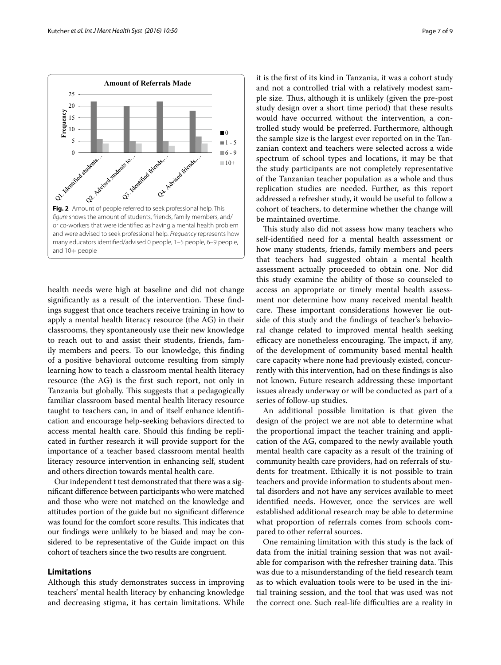

<span id="page-6-0"></span>health needs were high at baseline and did not change significantly as a result of the intervention. These findings suggest that once teachers receive training in how to apply a mental health literacy resource (the AG) in their classrooms, they spontaneously use their new knowledge to reach out to and assist their students, friends, family members and peers. To our knowledge, this finding of a positive behavioral outcome resulting from simply learning how to teach a classroom mental health literacy resource (the AG) is the first such report, not only in Tanzania but globally. This suggests that a pedagogically familiar classroom based mental health literacy resource taught to teachers can, in and of itself enhance identification and encourage help-seeking behaviors directed to access mental health care. Should this finding be replicated in further research it will provide support for the importance of a teacher based classroom mental health literacy resource intervention in enhancing self, student and others direction towards mental health care.

Our independent t test demonstrated that there was a significant difference between participants who were matched and those who were not matched on the knowledge and attitudes portion of the guide but no significant difference was found for the comfort score results. This indicates that our findings were unlikely to be biased and may be considered to be representative of the Guide impact on this cohort of teachers since the two results are congruent.

# **Limitations**

Although this study demonstrates success in improving teachers' mental health literacy by enhancing knowledge and decreasing stigma, it has certain limitations. While it is the first of its kind in Tanzania, it was a cohort study and not a controlled trial with a relatively modest sample size. Thus, although it is unlikely (given the pre-post study design over a short time period) that these results would have occurred without the intervention, a controlled study would be preferred. Furthermore, although the sample size is the largest ever reported on in the Tanzanian context and teachers were selected across a wide spectrum of school types and locations, it may be that the study participants are not completely representative of the Tanzanian teacher population as a whole and thus replication studies are needed. Further, as this report addressed a refresher study, it would be useful to follow a cohort of teachers, to determine whether the change will be maintained overtime.

This study also did not assess how many teachers who self-identified need for a mental health assessment or how many students, friends, family members and peers that teachers had suggested obtain a mental health assessment actually proceeded to obtain one. Nor did this study examine the ability of those so counseled to access an appropriate or timely mental health assessment nor determine how many received mental health care. These important considerations however lie outside of this study and the findings of teacher's behavioral change related to improved mental health seeking efficacy are nonetheless encouraging. The impact, if any, of the development of community based mental health care capacity where none had previously existed, concurrently with this intervention, had on these findings is also not known. Future research addressing these important issues already underway or will be conducted as part of a series of follow-up studies.

An additional possible limitation is that given the design of the project we are not able to determine what the proportional impact the teacher training and application of the AG, compared to the newly available youth mental health care capacity as a result of the training of community health care providers, had on referrals of students for treatment. Ethically it is not possible to train teachers and provide information to students about mental disorders and not have any services available to meet identified needs. However, once the services are well established additional research may be able to determine what proportion of referrals comes from schools compared to other referral sources.

One remaining limitation with this study is the lack of data from the initial training session that was not available for comparison with the refresher training data. This was due to a misunderstanding of the field research team as to which evaluation tools were to be used in the initial training session, and the tool that was used was not the correct one. Such real-life difficulties are a reality in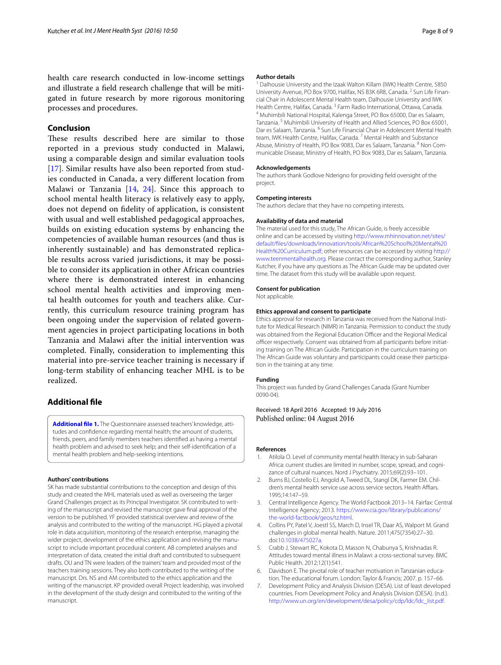health care research conducted in low-income settings and illustrate a field research challenge that will be mitigated in future research by more rigorous monitoring processes and procedures.

# **Conclusion**

These results described here are similar to those reported in a previous study conducted in Malawi, using a comparable design and similar evaluation tools [[17](#page-8-27)]. Similar results have also been reported from studies conducted in Canada, a very different location from Malawi or Tanzania [[14,](#page-8-34) [24\]](#page-8-36). Since this approach to school mental health literacy is relatively easy to apply, does not depend on fidelity of application, is consistent with usual and well established pedagogical approaches, builds on existing education systems by enhancing the competencies of available human resources (and thus is inherently sustainable) and has demonstrated replicable results across varied jurisdictions, it may be possible to consider its application in other African countries where there is demonstrated interest in enhancing school mental health activities and improving mental health outcomes for youth and teachers alike. Currently, this curriculum resource training program has been ongoing under the supervision of related government agencies in project participating locations in both Tanzania and Malawi after the initial intervention was completed. Finally, consideration to implementing this material into pre-service teacher training is necessary if long-term stability of enhancing teacher MHL is to be realized.

## **Additional file**

<span id="page-7-7"></span>**[Additional file 1.](http://dx.doi.org/10.1186/s13033-016-0082-6)** The Questionnaire assessed teachers' knowledge, attitudes and confidence regarding mental health; the amount of students, friends, peers, and family members teachers identified as having a mental health problem and advised to seek help; and their self-identification of a mental health problem and help-seeking intentions.

#### **Authors' contributions**

SK has made substantial contributions to the conception and design of this study and created the MHL materials used as well as overseeing the larger Grand Challenges project as its Principal Investigator. SK contributed to writing of the manuscript and revised the manuscript gave final approval of the version to be published. YF provided statistical overview and review of the analysis and contributed to the writing of the manuscript. HG played a pivotal role in data acquisition, monitoring of the research enterprise, managing the wider project, development of the ethics application and revising the manuscript to include important procedural content. AB completed analyses and interpretation of data, created the initial draft and contributed to subsequent drafts. OU and TN were leaders of the trainers' team and provided most of the teachers training sessions. They also both contributed to the writing of the manuscript. Drs. NS and AM contributed to the ethics application and the writing of the manuscript. KP provided overall Project leadership, was involved in the development of the study design and contributed to the writing of the manuscript.

#### **Author details**

<sup>1</sup> Dalhousie University and the Izaak Walton Killam (IWK) Health Centre, 5850 University Avenue, PO Box 9700, Halifax, NS B3K 6R8, Canada. <sup>2</sup> Sun Life Financial Chair in Adolescent Mental Health team, Dalhousie University and IWK Health Centre, Halifax, Canada. <sup>3</sup> Farm Radio International, Ottawa, Canada.<br><sup>4</sup> Muhimbili National Hospital, Kalenga Street, PO Box 65000, Dar es Salaam, Tanzania. <sup>5</sup> Muhimbili University of Health and Allied Sciences, PO Box 65001, Dar es Salaam, Tanzania. <sup>6</sup> Sun Life Financial Chair in Adolescent Mental Health team, IWK Health Centre, Halifax, Canada.<sup>7</sup> Mental Health and Substance Abuse, Ministry of Health, PO Box 9083, Dar es Salaam, Tanzania. <sup>8</sup> Non Communicable Disease, Ministry of Health, PO Box 9083, Dar es Salaam, Tanzania.

#### **Acknowledgements**

The authors thank Godlove Nderigno for providing field oversight of the project.

#### **Competing interests**

The authors declare that they have no competing interests.

#### **Availability of data and material**

The material used for this study, The African Guide, is freely accessible online and can be accessed by visiting [http://www.mhinnovation.net/sites/](http://www.mhinnovation.net/sites/default/files/downloads/innovation/tools/African%2520School%2520Mental%2520Health%2520Curriculum.pdf) [default/files/downloads/innovation/tools/African%20School%20Mental%20](http://www.mhinnovation.net/sites/default/files/downloads/innovation/tools/African%2520School%2520Mental%2520Health%2520Curriculum.pdf) [Health%20Curriculum.pdf](http://www.mhinnovation.net/sites/default/files/downloads/innovation/tools/African%2520School%2520Mental%2520Health%2520Curriculum.pdf); other resources can be accessed by visiting [http://](http://www.teenmentalhealth.org) [www.teenmentalhealth.org](http://www.teenmentalhealth.org). Please contact the corresponding author, Stanley Kutcher, if you have any questions as The African Guide may be updated over time. The dataset from this study will be available upon request.

### **Consent for publication**

Not applicable.

#### **Ethics approval and consent to participate**

Ethics approval for research in Tanzania was received from the National Institute for Medical Research (NIMR) in Tanzania. Permission to conduct the study was obtained from the Regional Education Officer and the Regional Medical officer respectively. Consent was obtained from all participants before initiating training on The African Guide. Participation in the curriculum training on The African Guide was voluntary and participants could cease their participation in the training at any time.

#### **Funding**

This project was funded by Grand Challenges Canada (Grant Number 0090-04).

Received: 18 April 2016 Accepted: 19 July 2016 Published online: 04 August 2016

#### **References**

- <span id="page-7-3"></span>1. Atilola O. Level of community mental health literacy in sub-Saharan Africa: current studies are limited in number, scope, spread, and cognizance of cultural nuances. Nord J Psychiatry. 2015;69(2):93–101.
- <span id="page-7-0"></span>2. Burns BJ, Costello EJ, Angold A, Tweed DL, Stangl DK, Farmer EM. Children's mental health service use across service sectors. Health Affiars. 1995;14:147–59.
- <span id="page-7-4"></span>3. Central Intelligence Agency. The World Factbook 2013–14. Fairfax: Central Intelligence Agency; 2013. [https://www.cia.gov/library/publications/](https://www.cia.gov/library/publications/the-world-factbook/geos/tz.html) [the-world-factbook/geos/tz.html](https://www.cia.gov/library/publications/the-world-factbook/geos/tz.html).
- <span id="page-7-1"></span>4. Collins PY, Patel V, Joestl SS, March D, Insel TR, Daar AS, Walport M. Grand challenges in global mental health. Nature. 2011;475(7354):27–30. doi:[10.1038/475027a.](http://dx.doi.org/10.1038/475027a)
- <span id="page-7-2"></span>5. Crabb J, Stewart RC, Kokota D, Masson N, Chabunya S, Krishnadas R. Attitudes toward mental illness in Malawi: a cross-sectional survey. BMC Public Health. 2012;12(1):541.
- <span id="page-7-6"></span>6. Davidson E. The pivotal role of teacher motivation in Tanzanian education. The educational forum. London: Taylor & Francis; 2007. p. 157–66.
- <span id="page-7-5"></span>7. Development Policy and Analysis Division (DESA). List of least developed countries. From Development Policy and Analysis Division (DESA). (n.d.). [http://www.un.org/en/development/desa/policy/cdp/ldc/ldc\\_list.pdf.](http://www.un.org/en/development/desa/policy/cdp/ldc/ldc_list.pdf)